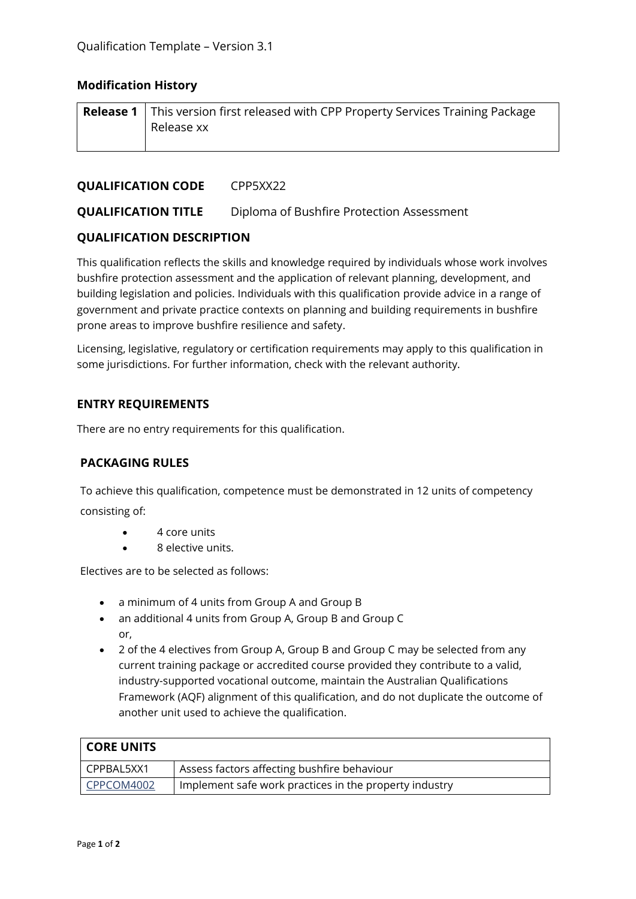# **Modification History**

| <b>Release 1</b> This version first released with CPP Property Services Training Package |
|------------------------------------------------------------------------------------------|
| Release xx                                                                               |
|                                                                                          |

#### **QUALIFICATION CODE** CPP5XX22

**QUALIFICATION TITLE** Diploma of Bushfire Protection Assessment

# **QUALIFICATION DESCRIPTION**

This qualification reflects the skills and knowledge required by individuals whose work involves bushfire protection assessment and the application of relevant planning, development, and building legislation and policies. Individuals with this qualification provide advice in a range of government and private practice contexts on planning and building requirements in bushfire prone areas to improve bushfire resilience and safety.

Licensing, legislative, regulatory or certification requirements may apply to this qualification in some jurisdictions. For further information, check with the relevant authority.

# **ENTRY REQUIREMENTS**

There are no entry requirements for this qualification.

#### **PACKAGING RULES**

To achieve this qualification, competence must be demonstrated in 12 units of competency consisting of:

- 4 core units
- 8 elective units.

Electives are to be selected as follows:

- a minimum of 4 units from Group A and Group B
- an additional 4 units from Group A, Group B and Group C or,
- 2 of the 4 electives from Group A, Group B and Group C may be selected from any current training package or accredited course provided they contribute to a valid, industry-supported vocational outcome, maintain the Australian Qualifications Framework (AQF) alignment of this qualification, and do not duplicate the outcome of another unit used to achieve the qualification.

| <b>CORE UNITS</b> |                                                        |
|-------------------|--------------------------------------------------------|
| I CPPBAL5XX1      | Assess factors affecting bushfire behaviour            |
| CPPCOM4002        | Implement safe work practices in the property industry |